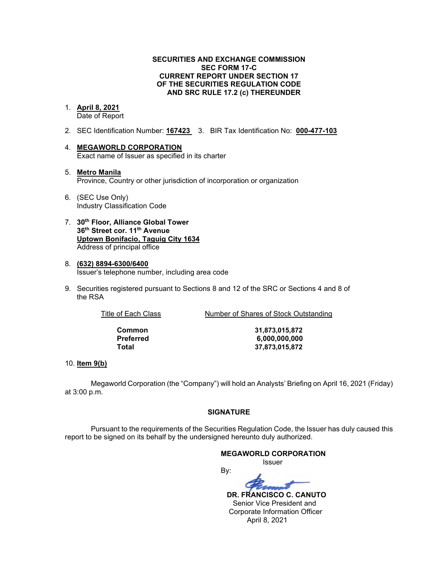### **SECURITIES AND EXCHANGE COMMISSION SEC FORM 17-C CURRENT REPORT UNDER SECTION 17 OF THE SECURITIES REGULATION CODE AND SRC RULE 17.2 (c) THEREUNDER**

# 1. **April 8, 2021**

Date of Report

- 2. SEC Identification Number: **167423** 3. BIR Tax Identification No: **000-477-103**
- 4. **MEGAWORLD CORPORATION**  Exact name of Issuer as specified in its charter
- 5. **Metro Manila** Province, Country or other jurisdiction of incorporation or organization
- 6. (SEC Use Only) Industry Classification Code
- 7. **30th Floor, Alliance Global Tower 36th Street cor. 11th Avenue Uptown Bonifacio, Taguig City 1634** Address of principal office
- 8. **(632) 8894-6300/6400**  Issuer's telephone number, including area code
- 9. Securities registered pursuant to Sections 8 and 12 of the SRC or Sections 4 and 8 of the RSA

Title of Each Class Number of Shares of Stock Outstanding

**Common 31,873,015,872 Preferred 6,000,000,000 Total 37,873,015,872**

### 10. **Item 9(b)**

Megaworld Corporation (the "Company") will hold an Analysts' Briefing on April 16, 2021 (Friday) at 3:00 p.m.

### **SIGNATURE**

Pursuant to the requirements of the Securities Regulation Code, the Issuer has duly caused this report to be signed on its behalf by the undersigned hereunto duly authorized.

### **MEGAWORLD CORPORATION**

*<u>Issuer</u> Issuer Issuer* 

By:

 **DR. FRANCISCO C. CANUTO**  Senior Vice President and Corporate Information Officer April 8, 2021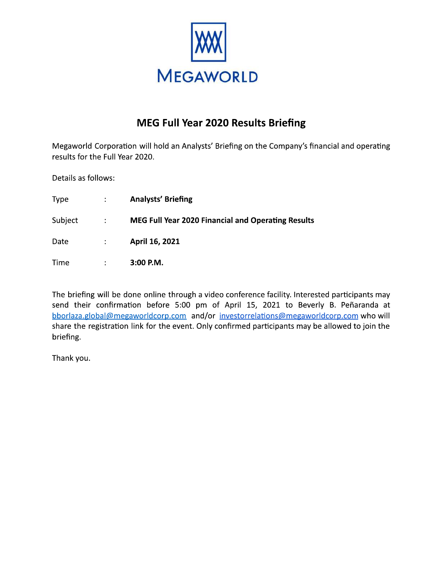

# MEG Full Year 2020 Results Briefing

Megaworld Corporation will hold an Analysts' Briefing on the Company's financial and operating results for the Full Year 2020.

Details as follows:

| <b>Type</b> | $\mathcal{L}$     | <b>Analysts' Briefing</b>                                 |
|-------------|-------------------|-----------------------------------------------------------|
| Subject     | $\sim 1000$ $\mu$ | <b>MEG Full Year 2020 Financial and Operating Results</b> |
| Date        | $\mathcal{L}$     | April 16, 2021                                            |
| Time        | ÷                 | $3:00$ P.M.                                               |

The briefing will be done online through a video conference facility. Interested participants may send their confirmation before 5:00 pm of April 15, 2021 to Beverly B. Peñaranda at bborlaza.global@megaworldcorp.com and/or investorrelations@megaworldcorp.com who will share the registration link for the event. Only confirmed participants may be allowed to join the briefing.

Thank you.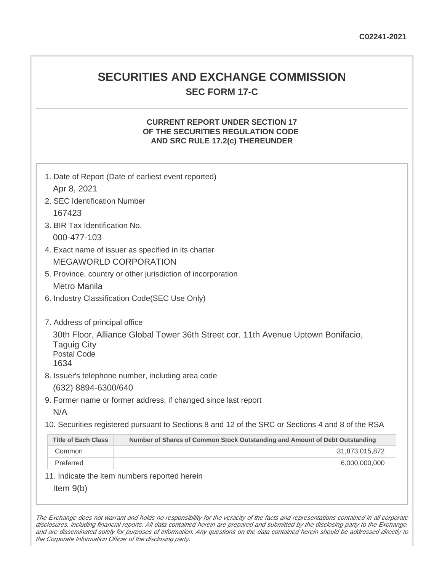# **SECURITIES AND EXCHANGE COMMISSION SEC FORM 17-C**

### **CURRENT REPORT UNDER SECTION 17 OF THE SECURITIES REGULATION CODE AND SRC RULE 17.2(c) THEREUNDER**

|                                                                                    | 1. Date of Report (Date of earliest event reported)                                                                                   |  |  |  |
|------------------------------------------------------------------------------------|---------------------------------------------------------------------------------------------------------------------------------------|--|--|--|
| Apr 8, 2021                                                                        |                                                                                                                                       |  |  |  |
| 2. SEC Identification Number                                                       |                                                                                                                                       |  |  |  |
| 167423                                                                             |                                                                                                                                       |  |  |  |
| 3. BIR Tax Identification No.                                                      |                                                                                                                                       |  |  |  |
| 000-477-103                                                                        |                                                                                                                                       |  |  |  |
| 4. Exact name of issuer as specified in its charter                                |                                                                                                                                       |  |  |  |
| <b>MEGAWORLD CORPORATION</b>                                                       |                                                                                                                                       |  |  |  |
| 5. Province, country or other jurisdiction of incorporation                        |                                                                                                                                       |  |  |  |
| <b>Metro Manila</b>                                                                |                                                                                                                                       |  |  |  |
| 6. Industry Classification Code(SEC Use Only)                                      |                                                                                                                                       |  |  |  |
| 7. Address of principal office<br><b>Taguig City</b><br><b>Postal Code</b><br>1634 | 30th Floor, Alliance Global Tower 36th Street cor. 11th Avenue Uptown Bonifacio,<br>8. Issuer's telephone number, including area code |  |  |  |
| (632) 8894-6300/640                                                                |                                                                                                                                       |  |  |  |
|                                                                                    | 9. Former name or former address, if changed since last report                                                                        |  |  |  |
| N/A                                                                                |                                                                                                                                       |  |  |  |
|                                                                                    |                                                                                                                                       |  |  |  |
|                                                                                    | 10. Securities registered pursuant to Sections 8 and 12 of the SRC or Sections 4 and 8 of the RSA                                     |  |  |  |
| <b>Title of Each Class</b>                                                         | Number of Shares of Common Stock Outstanding and Amount of Debt Outstanding                                                           |  |  |  |
| Common                                                                             | 31,873,015,872                                                                                                                        |  |  |  |
| Preferred                                                                          | 6,000,000,000                                                                                                                         |  |  |  |
|                                                                                    | 11. Indicate the item numbers reported herein                                                                                         |  |  |  |
| Item $9(b)$                                                                        |                                                                                                                                       |  |  |  |

The Exchange does not warrant and holds no responsibility for the veracity of the facts and representations contained in all corporate disclosures, including financial reports. All data contained herein are prepared and submitted by the disclosing party to the Exchange, and are disseminated solely for purposes of information. Any questions on the data contained herein should be addressed directly to the Corporate Information Officer of the disclosing party.